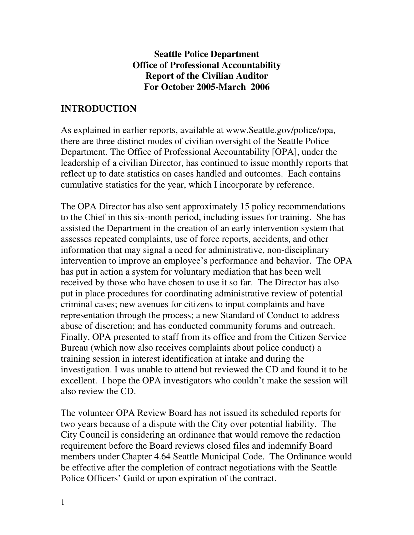### **Seattle Police Department Office of Professional Accountability Report of the Civilian Auditor For October 2005-March 2006**

# **INTRODUCTION**

As explained in earlier reports, available at www.Seattle.gov/police/opa, there are three distinct modes of civilian oversight of the Seattle Police Department. The Office of Professional Accountability [OPA], under the leadership of a civilian Director, has continued to issue monthly reports that reflect up to date statistics on cases handled and outcomes. Each contains cumulative statistics for the year, which I incorporate by reference.

The OPA Director has also sent approximately 15 policy recommendations to the Chief in this six-month period, including issues for training. She has assisted the Department in the creation of an early intervention system that assesses repeated complaints, use of force reports, accidents, and other information that may signal a need for administrative, non-disciplinary intervention to improve an employee's performance and behavior. The OPA has put in action a system for voluntary mediation that has been well received by those who have chosen to use it so far. The Director has also put in place procedures for coordinating administrative review of potential criminal cases; new avenues for citizens to input complaints and have representation through the process; a new Standard of Conduct to address abuse of discretion; and has conducted community forums and outreach. Finally, OPA presented to staff from its office and from the Citizen Service Bureau (which now also receives complaints about police conduct) a training session in interest identification at intake and during the investigation. I was unable to attend but reviewed the CD and found it to be excellent. I hope the OPA investigators who couldn't make the session will also review the CD.

The volunteer OPA Review Board has not issued its scheduled reports for two years because of a dispute with the City over potential liability. The City Council is considering an ordinance that would remove the redaction requirement before the Board reviews closed files and indemnify Board members under Chapter 4.64 Seattle Municipal Code. The Ordinance would be effective after the completion of contract negotiations with the Seattle Police Officers' Guild or upon expiration of the contract.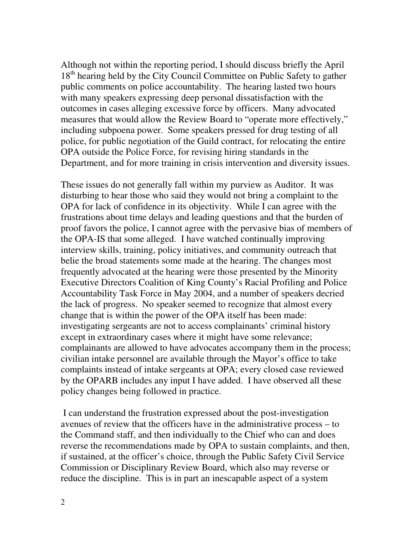Although not within the reporting period, I should discuss briefly the April 18<sup>th</sup> hearing held by the City Council Committee on Public Safety to gather public comments on police accountability. The hearing lasted two hours with many speakers expressing deep personal dissatisfaction with the outcomes in cases alleging excessive force by officers. Many advocated measures that would allow the Review Board to "operate more effectively," including subpoena power. Some speakers pressed for drug testing of all police, for public negotiation of the Guild contract, for relocating the entire OPA outside the Police Force, for revising hiring standards in the Department, and for more training in crisis intervention and diversity issues.

These issues do not generally fall within my purview as Auditor. It was disturbing to hear those who said they would not bring a complaint to the OPA for lack of confidence in its objectivity. While I can agree with the frustrations about time delays and leading questions and that the burden of proof favors the police, I cannot agree with the pervasive bias of members of the OPA-IS that some alleged. I have watched continually improving interview skills, training, policy initiatives, and community outreach that belie the broad statements some made at the hearing. The changes most frequently advocated at the hearing were those presented by the Minority Executive Directors Coalition of King County's Racial Profiling and Police Accountability Task Force in May 2004, and a number of speakers decried the lack of progress. No speaker seemed to recognize that almost every change that is within the power of the OPA itself has been made: investigating sergeants are not to access complainants' criminal history except in extraordinary cases where it might have some relevance; complainants are allowed to have advocates accompany them in the process; civilian intake personnel are available through the Mayor's office to take complaints instead of intake sergeants at OPA; every closed case reviewed by the OPARB includes any input I have added. I have observed all these policy changes being followed in practice.

I can understand the frustration expressed about the post-investigation avenues of review that the officers have in the administrative process – to the Command staff, and then individually to the Chief who can and does reverse the recommendations made by OPA to sustain complaints, and then, if sustained, at the officer's choice, through the Public Safety Civil Service Commission or Disciplinary Review Board, which also may reverse or reduce the discipline. This is in part an inescapable aspect of a system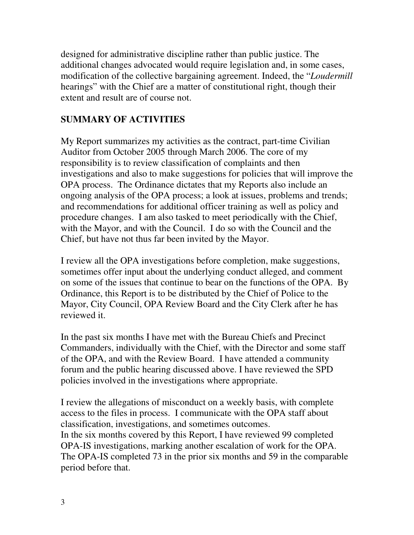designed for administrative discipline rather than public justice. The additional changes advocated would require legislation and, in some cases, modification of the collective bargaining agreement. Indeed, the "*Loudermill* hearings" with the Chief are a matter of constitutional right, though their extent and result are of course not.

## **SUMMARY OF ACTIVITIES**

My Report summarizes my activities as the contract, part-time Civilian Auditor from October 2005 through March 2006. The core of my responsibility is to review classification of complaints and then investigations and also to make suggestions for policies that will improve the OPA process. The Ordinance dictates that my Reports also include an ongoing analysis of the OPA process; a look at issues, problems and trends; and recommendations for additional officer training as well as policy and procedure changes. I am also tasked to meet periodically with the Chief, with the Mayor, and with the Council. I do so with the Council and the Chief, but have not thus far been invited by the Mayor.

I review all the OPA investigations before completion, make suggestions, sometimes offer input about the underlying conduct alleged, and comment on some of the issues that continue to bear on the functions of the OPA. By Ordinance, this Report is to be distributed by the Chief of Police to the Mayor, City Council, OPA Review Board and the City Clerk after he has reviewed it.

In the past six months I have met with the Bureau Chiefs and Precinct Commanders, individually with the Chief, with the Director and some staff of the OPA, and with the Review Board. I have attended a community forum and the public hearing discussed above. I have reviewed the SPD policies involved in the investigations where appropriate.

I review the allegations of misconduct on a weekly basis, with complete access to the files in process. I communicate with the OPA staff about classification, investigations, and sometimes outcomes. In the six months covered by this Report, I have reviewed 99 completed OPA-IS investigations, marking another escalation of work for the OPA. The OPA-IS completed 73 in the prior six months and 59 in the comparable period before that.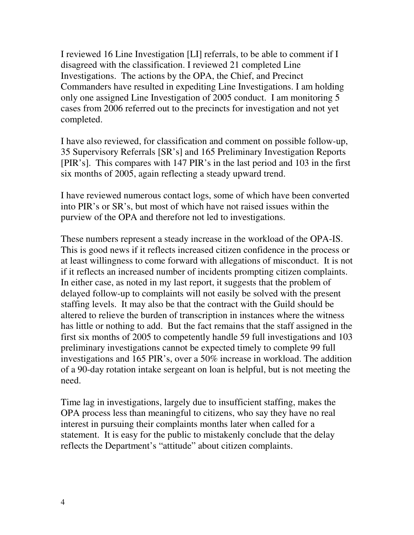I reviewed 16 Line Investigation [LI] referrals, to be able to comment if I disagreed with the classification. I reviewed 21 completed Line Investigations. The actions by the OPA, the Chief, and Precinct Commanders have resulted in expediting Line Investigations. I am holding only one assigned Line Investigation of 2005 conduct. I am monitoring 5 cases from 2006 referred out to the precincts for investigation and not yet completed.

I have also reviewed, for classification and comment on possible follow-up, 35 Supervisory Referrals [SR's] and 165 Preliminary Investigation Reports [PIR's]. This compares with 147 PIR's in the last period and 103 in the first six months of 2005, again reflecting a steady upward trend.

I have reviewed numerous contact logs, some of which have been converted into PIR's or SR's, but most of which have not raised issues within the purview of the OPA and therefore not led to investigations.

These numbers represent a steady increase in the workload of the OPA-IS. This is good news if it reflects increased citizen confidence in the process or at least willingness to come forward with allegations of misconduct. It is not if it reflects an increased number of incidents prompting citizen complaints. In either case, as noted in my last report, it suggests that the problem of delayed follow-up to complaints will not easily be solved with the present staffing levels. It may also be that the contract with the Guild should be altered to relieve the burden of transcription in instances where the witness has little or nothing to add. But the fact remains that the staff assigned in the first six months of 2005 to competently handle 59 full investigations and 103 preliminary investigations cannot be expected timely to complete 99 full investigations and 165 PIR's, over a 50% increase in workload. The addition of a 90-day rotation intake sergeant on loan is helpful, but is not meeting the need.

Time lag in investigations, largely due to insufficient staffing, makes the OPA process less than meaningful to citizens, who say they have no real interest in pursuing their complaints months later when called for a statement. It is easy for the public to mistakenly conclude that the delay reflects the Department's "attitude" about citizen complaints.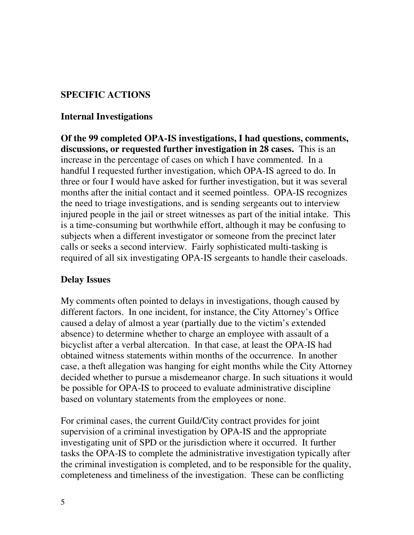### **SPECIFIC ACTIONS**

#### **Internal Investigations**

**Of the 99 completed OPA-IS investigations, I had questions, comments, discussions, or requested further investigation in 28 cases.** This is an increase in the percentage of cases on which I have commented. In a handful I requested further investigation, which OPA-IS agreed to do. In three or four I would have asked for further investigation, but it was several months after the initial contact and it seemed pointless. OPA-IS recognizes the need to triage investigations, and is sending sergeants out to interview injured people in the jail or street witnesses as part of the initial intake. This is a time-consuming but worthwhile effort, although it may be confusing to subjects when a different investigator or someone from the precinct later calls or seeks a second interview. Fairly sophisticated multi-tasking is required of all six investigating OPA-IS sergeants to handle their caseloads.

#### **Delay Issues**

My comments often pointed to delays in investigations, though caused by different factors. In one incident, for instance, the City Attorney's Office caused a delay of almost a year (partially due to the victim's extended absence) to determine whether to charge an employee with assault of a bicyclist after a verbal altercation. In that case, at least the OPA-IS had obtained witness statements within months of the occurrence. In another case, a theft allegation was hanging for eight months while the City Attorney decided whether to pursue a misdemeanor charge. In such situations it would be possible for OPA-IS to proceed to evaluate administrative discipline based on voluntary statements from the employees or none.

For criminal cases, the current Guild/City contract provides for joint supervision of a criminal investigation by OPA-IS and the appropriate investigating unit of SPD or the jurisdiction where it occurred. It further tasks the OPA-IS to complete the administrative investigation typically after the criminal investigation is completed, and to be responsible for the quality, completeness and timeliness of the investigation. These can be conflicting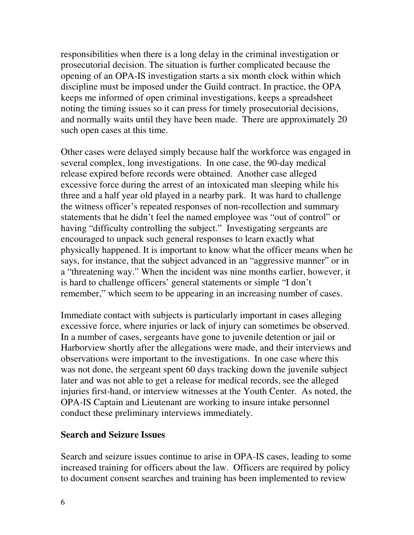responsibilities when there is a long delay in the criminal investigation or prosecutorial decision. The situation is further complicated because the opening of an OPA-IS investigation starts a six month clock within which discipline must be imposed under the Guild contract. In practice, the OPA keeps me informed of open criminal investigations, keeps a spreadsheet noting the timing issues so it can press for timely prosecutorial decisions, and normally waits until they have been made. There are approximately 20 such open cases at this time.

Other cases were delayed simply because half the workforce was engaged in several complex, long investigations. In one case, the 90-day medical release expired before records were obtained. Another case alleged excessive force during the arrest of an intoxicated man sleeping while his three and a half year old played in a nearby park. It was hard to challenge the witness officer's repeated responses of non-recollection and summary statements that he didn't feel the named employee was "out of control" or having "difficulty controlling the subject." Investigating sergeants are encouraged to unpack such general responses to learn exactly what physically happened. It is important to know what the officer means when he says, for instance, that the subject advanced in an "aggressive manner" or in a "threatening way." When the incident was nine months earlier, however, it is hard to challenge officers' general statements or simple "I don't remember," which seem to be appearing in an increasing number of cases.

Immediate contact with subjects is particularly important in cases alleging excessive force, where injuries or lack of injury can sometimes be observed. In a number of cases, sergeants have gone to juvenile detention or jail or Harborview shortly after the allegations were made, and their interviews and observations were important to the investigations. In one case where this was not done, the sergeant spent 60 days tracking down the juvenile subject later and was not able to get a release for medical records, see the alleged injuries first-hand, or interview witnesses at the Youth Center. As noted, the OPA-IS Captain and Lieutenant are working to insure intake personnel conduct these preliminary interviews immediately.

#### **Search and Seizure Issues**

Search and seizure issues continue to arise in OPA-IS cases, leading to some increased training for officers about the law. Officers are required by policy to document consent searches and training has been implemented to review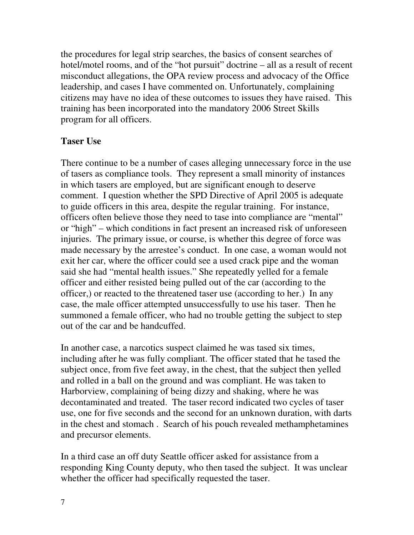the procedures for legal strip searches, the basics of consent searches of hotel/motel rooms, and of the "hot pursuit" doctrine – all as a result of recent misconduct allegations, the OPA review process and advocacy of the Office leadership, and cases I have commented on. Unfortunately, complaining citizens may have no idea of these outcomes to issues they have raised. This training has been incorporated into the mandatory 2006 Street Skills program for all officers.

#### **Taser Use**

There continue to be a number of cases alleging unnecessary force in the use of tasers as compliance tools. They represent a small minority of instances in which tasers are employed, but are significant enough to deserve comment. I question whether the SPD Directive of April 2005 is adequate to guide officers in this area, despite the regular training. For instance, officers often believe those they need to tase into compliance are "mental" or "high" – which conditions in fact present an increased risk of unforeseen injuries. The primary issue, or course, is whether this degree of force was made necessary by the arrestee's conduct. In one case, a woman would not exit her car, where the officer could see a used crack pipe and the woman said she had "mental health issues." She repeatedly yelled for a female officer and either resisted being pulled out of the car (according to the officer,) or reacted to the threatened taser use (according to her.) In any case, the male officer attempted unsuccessfully to use his taser. Then he summoned a female officer, who had no trouble getting the subject to step out of the car and be handcuffed.

In another case, a narcotics suspect claimed he was tased six times, including after he was fully compliant. The officer stated that he tased the subject once, from five feet away, in the chest, that the subject then yelled and rolled in a ball on the ground and was compliant. He was taken to Harborview, complaining of being dizzy and shaking, where he was decontaminated and treated. The taser record indicated two cycles of taser use, one for five seconds and the second for an unknown duration, with darts in the chest and stomach . Search of his pouch revealed methamphetamines and precursor elements.

In a third case an off duty Seattle officer asked for assistance from a responding King County deputy, who then tased the subject. It was unclear whether the officer had specifically requested the taser.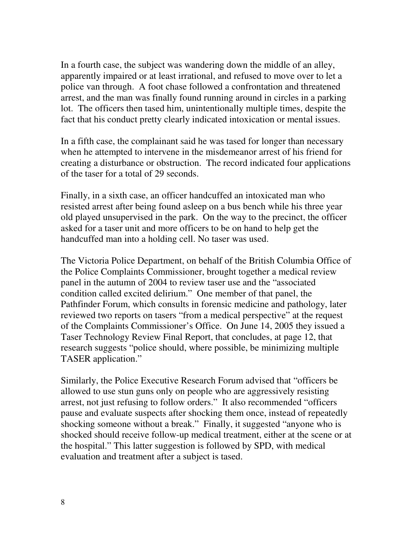In a fourth case, the subject was wandering down the middle of an alley, apparently impaired or at least irrational, and refused to move over to let a police van through. A foot chase followed a confrontation and threatened arrest, and the man was finally found running around in circles in a parking lot. The officers then tased him, unintentionally multiple times, despite the fact that his conduct pretty clearly indicated intoxication or mental issues.

In a fifth case, the complainant said he was tased for longer than necessary when he attempted to intervene in the misdemeanor arrest of his friend for creating a disturbance or obstruction. The record indicated four applications of the taser for a total of 29 seconds.

Finally, in a sixth case, an officer handcuffed an intoxicated man who resisted arrest after being found asleep on a bus bench while his three year old played unsupervised in the park. On the way to the precinct, the officer asked for a taser unit and more officers to be on hand to help get the handcuffed man into a holding cell. No taser was used.

The Victoria Police Department, on behalf of the British Columbia Office of the Police Complaints Commissioner, brought together a medical review panel in the autumn of 2004 to review taser use and the "associated condition called excited delirium." One member of that panel, the Pathfinder Forum, which consults in forensic medicine and pathology, later reviewed two reports on tasers "from a medical perspective" at the request of the Complaints Commissioner's Office. On June 14, 2005 they issued a Taser Technology Review Final Report, that concludes, at page 12, that research suggests "police should, where possible, be minimizing multiple TASER application."

Similarly, the Police Executive Research Forum advised that "officers be allowed to use stun guns only on people who are aggressively resisting arrest, not just refusing to follow orders." It also recommended "officers pause and evaluate suspects after shocking them once, instead of repeatedly shocking someone without a break." Finally, it suggested "anyone who is shocked should receive follow-up medical treatment, either at the scene or at the hospital." This latter suggestion is followed by SPD, with medical evaluation and treatment after a subject is tased.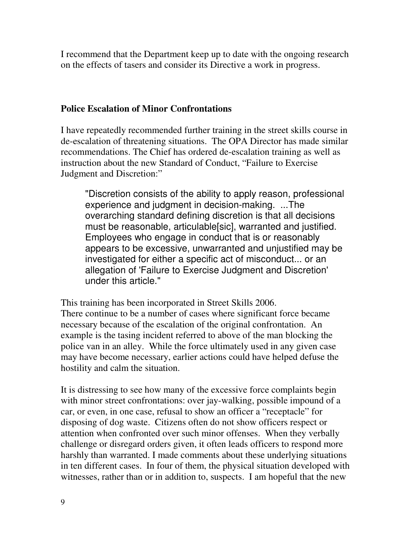I recommend that the Department keep up to date with the ongoing research on the effects of tasers and consider its Directive a work in progress.

## **Police Escalation of Minor Confrontations**

I have repeatedly recommended further training in the street skills course in de-escalation of threatening situations. The OPA Director has made similar recommendations. The Chief has ordered de-escalation training as well as instruction about the new Standard of Conduct, "Failure to Exercise Judgment and Discretion:"

"Discretion consists of the ability to apply reason, professional experience and judgment in decision-making. ...The overarching standard defining discretion is that all decisions must be reasonable, articulable[sic], warranted and justified. Employees who engage in conduct that is or reasonably appears to be excessive, unwarranted and unjustified may be investigated for either a specific act of misconduct... or an allegation of 'Failure to Exercise Judgment and Discretion' under this article."

This training has been incorporated in Street Skills 2006. There continue to be a number of cases where significant force became necessary because of the escalation of the original confrontation. An example is the tasing incident referred to above of the man blocking the police van in an alley. While the force ultimately used in any given case may have become necessary, earlier actions could have helped defuse the hostility and calm the situation.

It is distressing to see how many of the excessive force complaints begin with minor street confrontations: over jay-walking, possible impound of a car, or even, in one case, refusal to show an officer a "receptacle" for disposing of dog waste. Citizens often do not show officers respect or attention when confronted over such minor offenses. When they verbally challenge or disregard orders given, it often leads officers to respond more harshly than warranted. I made comments about these underlying situations in ten different cases. In four of them, the physical situation developed with witnesses, rather than or in addition to, suspects. I am hopeful that the new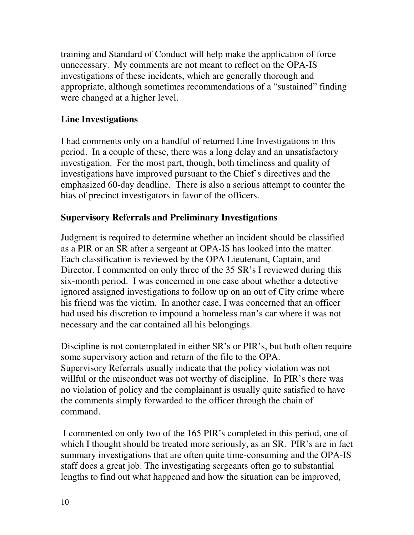training and Standard of Conduct will help make the application of force unnecessary. My comments are not meant to reflect on the OPA-IS investigations of these incidents, which are generally thorough and appropriate, although sometimes recommendations of a "sustained" finding were changed at a higher level.

## **Line Investigations**

I had comments only on a handful of returned Line Investigations in this period. In a couple of these, there was a long delay and an unsatisfactory investigation. For the most part, though, both timeliness and quality of investigations have improved pursuant to the Chief's directives and the emphasized 60-day deadline. There is also a serious attempt to counter the bias of precinct investigators in favor of the officers.

### **Supervisory Referrals and Preliminary Investigations**

Judgment is required to determine whether an incident should be classified as a PIR or an SR after a sergeant at OPA-IS has looked into the matter. Each classification is reviewed by the OPA Lieutenant, Captain, and Director. I commented on only three of the 35 SR's I reviewed during this six-month period. I was concerned in one case about whether a detective ignored assigned investigations to follow up on an out of City crime where his friend was the victim. In another case, I was concerned that an officer had used his discretion to impound a homeless man's car where it was not necessary and the car contained all his belongings.

Discipline is not contemplated in either SR's or PIR's, but both often require some supervisory action and return of the file to the OPA. Supervisory Referrals usually indicate that the policy violation was not willful or the misconduct was not worthy of discipline. In PIR's there was no violation of policy and the complainant is usually quite satisfied to have the comments simply forwarded to the officer through the chain of command.

I commented on only two of the 165 PIR's completed in this period, one of which I thought should be treated more seriously, as an SR. PIR's are in fact summary investigations that are often quite time-consuming and the OPA-IS staff does a great job. The investigating sergeants often go to substantial lengths to find out what happened and how the situation can be improved,